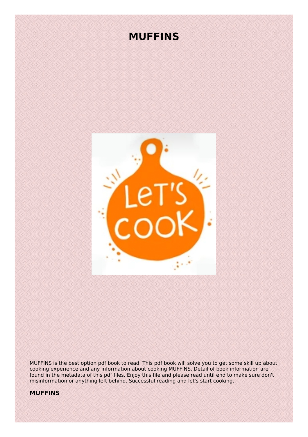# **MUFFINS**



MUFFINS is the best option pdf book to read. This pdf book will solve you to get some skill up about cooking experience and any information about cooking MUFFINS. Detail of book information are found in the metadata of this pdf files. Enjoy this file and please read until end to make sure don't misinformation or anything left behind. Successful reading and let's start cooking.

## **MUFFINS**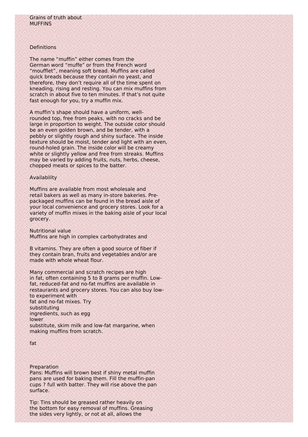## Definitions

The name "muffin" either comes from the German word "muffe" or from the French word "moufflet", meaning soft bread. Muffins are called quick breads because they contain no yeast, and therefore, they don't require all of the time spent on kneading, rising and resting. You can mix muffins from scratch in about five to ten minutes. If that's not quite fast enough for you, try a muffin mix.

A muffin's shape should have a uniform, wellrounded top, free from peaks, with no cracks and be large in proportion to weight. The outside color should be an even golden brown, and be tender, with a pebbly or slightly rough and shiny surface. The inside texture should be moist, tender and light with an even, round-holed grain. The inside color will be creamy white or slightly yellow and free from streaks. Muffins may be varied by adding fruits, nuts, herbs, cheese, chopped meats or spices to the batter.

#### Availability

Muffins are available from most wholesale and retail bakers as well as many in-store bakeries. Prepackaged muffins can be found in the bread aisle of your local convenience and grocery stores. Look for a variety of muffin mixes in the baking aisle of your local grocery.

Nutritional value Muffins are high in complex carbohydrates and

B vitamins. They are often a good source of fiber if they contain bran, fruits and vegetables and/or are made with whole wheat flour.

Many commercial and scratch recipes are high in fat, often containing 5 to 8 grams per muffin. Lowfat, reduced-fat and no-fat muffins are available in restaurants and grocery stores. You can also buy lowto experiment with fat and no-fat mixes. Try substituting ingredients, such as egg lower substitute, skim milk and low-fat margarine, when making muffins from scratch.

#### Preparation

Pans: Muffins will brown best if shiny metal muffin pans are used for baking them. Fill the muffin-pan cups ? full with batter. They will rise above the pan surface.

Tip: Tins should be greased rather heavily on the bottom for easy removal of muffins. Greasing the sides very lightly, or not at all, allows the

fat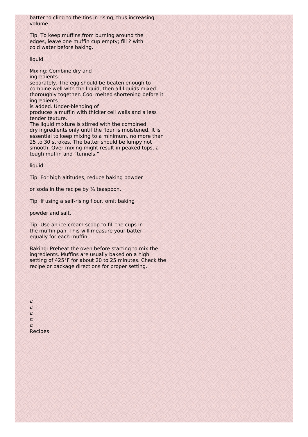batter to cling to the tins in rising, thus increasing volume.

Tip: To keep muffins from burning around the edges, leave one muffin cup empty; fill ? with cold water before baking.

## liquid

Mixing: Combine dry and ingredients separately. The egg should be beaten enough to combine well with the liquid, then all liquids mixed thoroughly together. Cool melted shortening before it ingredients

is added. Under-blending of

produces a muffin with thicker cell walls and a less tender texture.

The liquid mixture is stirred with the combined dry ingredients only until the flour is moistened. It is essential to keep mixing to a minimum, no more than 25 to 30 strokes. The batter should be lumpy not smooth. Over-mixing might result in peaked tops, a tough muffin and "tunnels."

liquid

Tip: For high altitudes, reduce baking powder

or soda in the recipe by  $\frac{1}{4}$  teaspoon.

Tip: If using a self-rising flour, omit baking

powder and salt.

Tip: Use an ice cream scoop to fill the cups in the muffin pan. This will measure your batter equally for each muffin.

Baking: Preheat the oven before starting to mix the ingredients. Muffins are usually baked on a high setting of 425°F for about 20 to 25 minutes. Check the recipe or package directions for proper setting.

¤ ¤ ¤ ¤ ¤ Recipes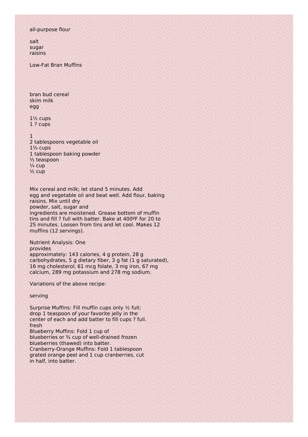## all-purpose flour

salt sugar raisins

Low-Fat Bran Muffins

bran bud cereal skim milk egg

1½ cups 1 ? cups

#### $\lambda$

2 tablespoons vegetable oil  $1\frac{1}{4}$  cups 1 tablespoon baking powder ½ teaspoon  $\frac{1}{4}$  cup  $\frac{1}{2}$  cup

Mix cereal and milk; let stand 5 minutes. Add egg and vegetable oil and beat well. Add flour, baking raisins. Mix until dry powder, salt, sugar and ingredients are moistened. Grease bottom of muffin tins and fill ? full with batter. Bake at 400ºF for 20 to 25 minutes. Loosen from tins and let cool. Makes 12 muffins (12 servings).

Nutrient Analysis: One

provides approximately: 143 calories, 4 g protein, 28 g carbohydrates, 5 g dietary fiber, 3 g fat (1 g saturated), 16 mg cholesterol, 61 mcg folate, 3 mg iron, 67 mg calcium, 289 mg potassium and 278 mg sodium.

Variations of the above recipe:

serving

Surprise Muffins: Fill muffin cups only ½ full; drop 1 teaspoon of your favorite jelly in the center of each and add batter to fill cups ? full. fresh Blueberry Muffins: Fold 1 cup of blueberries or 3/4 cup of well-drained frozen blueberries (thawed) into batter.

Cranberry-Orange Muffins: Fold 1 tablespoon grated orange peel and 1 cup cranberries, cut in half, into batter.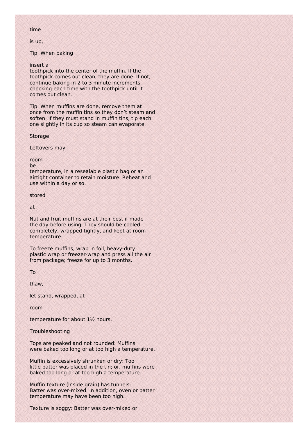#### time

is up,

Tip: When baking

## insert a

toothpick into the center of the muffin. If the toothpick comes out clean, they are done. If not, continue baking in 2 to 3 minute increments, checking each time with the toothpick until it comes out clean.

Tip: When muffins are done, remove them at once from the muffin tins so they don't steam and soften. If they must stand in muffin tins, tip each one slightly in its cup so steam can evaporate.

#### Storage

Leftovers may

room

be

temperature, in a resealable plastic bag or an airtight container to retain moisture. Reheat and use within a day or so.

stored

at

Nut and fruit muffins are at their best if made the day before using. They should be cooled completely, wrapped tightly, and kept at room temperature.

To freeze muffins, wrap in foil, heavy-duty plastic wrap or freezer-wrap and press all the air from package; freeze for up to 3 months.

To

thaw,

let stand, wrapped, at

room

temperature for about 1½ hours.

Troubleshooting

Tops are peaked and not rounded: Muffins were baked too long or at too high a temperature.

Muffin is excessively shrunken or dry: Too little batter was placed in the tin; or, muffins were baked too long or at too high a temperature.

Muffin texture (inside grain) has tunnels: Batter was over-mixed. In addition, oven or batter temperature may have been too high.

Texture is soggy: Batter was over-mixed or